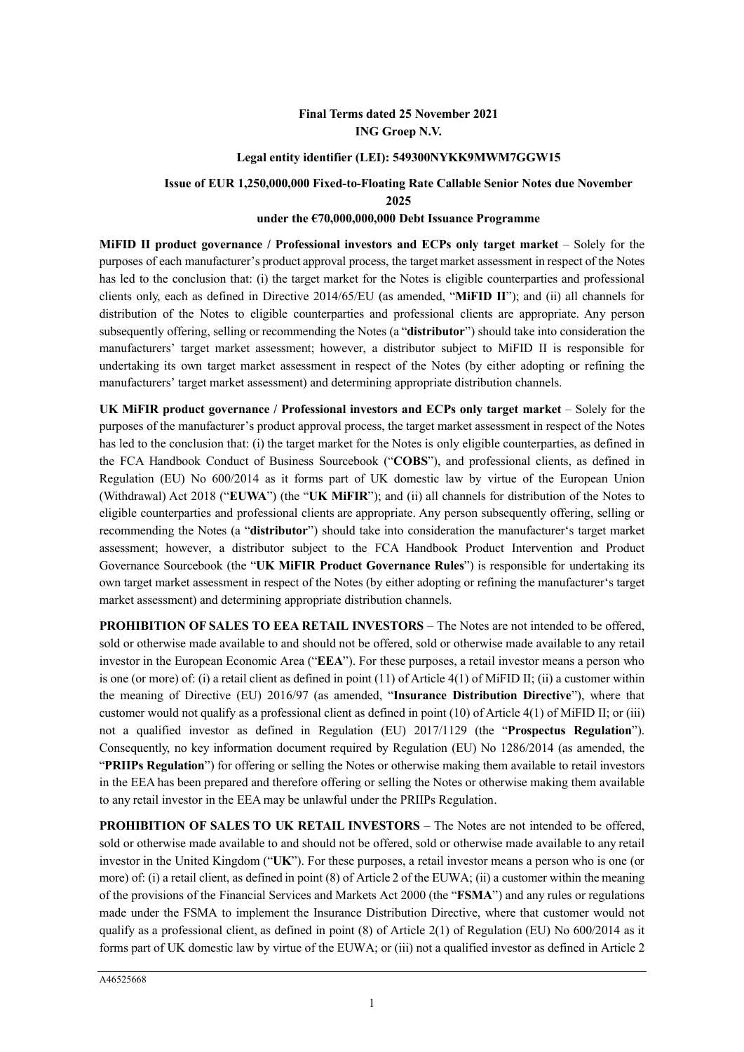### **Final Terms dated 25 November 2021 ING Groep N.V.**

#### **Legal entity identifier (LEI): 549300NYKK9MWM7GGW15**

**Issue of EUR 1,250,000,000 Fixed-to-Floating Rate Callable Senior Notes due November 2025**

### **under the €70,000,000,000 Debt Issuance Programme**

**MiFID II product governance / Professional investors and ECPs only target market** – Solely for the purposes of each manufacturer's product approval process, the target market assessment in respect of the Notes has led to the conclusion that: (i) the target market for the Notes is eligible counterparties and professional clients only, each as defined in Directive 2014/65/EU (as amended, "**MiFID II**"); and (ii) all channels for distribution of the Notes to eligible counterparties and professional clients are appropriate. Any person subsequently offering, selling or recommending the Notes (a "**distributor**") should take into consideration the manufacturers' target market assessment; however, a distributor subject to MiFID II is responsible for undertaking its own target market assessment in respect of the Notes (by either adopting or refining the manufacturers' target market assessment) and determining appropriate distribution channels.

**UK MiFIR product governance / Professional investors and ECPs only target market** – Solely for the purposes of the manufacturer's product approval process, the target market assessment in respect of the Notes has led to the conclusion that: (i) the target market for the Notes is only eligible counterparties, as defined in the FCA Handbook Conduct of Business Sourcebook ("**COBS**"), and professional clients, as defined in Regulation (EU) No 600/2014 as it forms part of UK domestic law by virtue of the European Union (Withdrawal) Act 2018 ("**EUWA**") (the "**UK MiFIR**"); and (ii) all channels for distribution of the Notes to eligible counterparties and professional clients are appropriate. Any person subsequently offering, selling or recommending the Notes (a "**distributor**") should take into consideration the manufacturer's target market assessment; however, a distributor subject to the FCA Handbook Product Intervention and Product Governance Sourcebook (the "**UK MiFIR Product Governance Rules**") is responsible for undertaking its own target market assessment in respect of the Notes (by either adopting or refining the manufacturer's target market assessment) and determining appropriate distribution channels.

**PROHIBITION OF SALES TO EEA RETAIL INVESTORS** – The Notes are not intended to be offered, sold or otherwise made available to and should not be offered, sold or otherwise made available to any retail investor in the European Economic Area ("**EEA**"). For these purposes, a retail investor means a person who is one (or more) of: (i) a retail client as defined in point (11) of Article 4(1) of MiFID II; (ii) a customer within the meaning of Directive (EU) 2016/97 (as amended, "**Insurance Distribution Directive**"), where that customer would not qualify as a professional client as defined in point (10) of Article 4(1) of MiFID II; or (iii) not a qualified investor as defined in Regulation (EU) 2017/1129 (the "**Prospectus Regulation**"). Consequently, no key information document required by Regulation (EU) No 1286/2014 (as amended, the "**PRIIPs Regulation**") for offering or selling the Notes or otherwise making them available to retail investors in the EEA has been prepared and therefore offering or selling the Notes or otherwise making them available to any retail investor in the EEA may be unlawful under the PRIIPs Regulation.

**PROHIBITION OF SALES TO UK RETAIL INVESTORS** – The Notes are not intended to be offered, sold or otherwise made available to and should not be offered, sold or otherwise made available to any retail investor in the United Kingdom ("**UK**"). For these purposes, a retail investor means a person who is one (or more) of: (i) a retail client, as defined in point (8) of Article 2 of the EUWA; (ii) a customer within the meaning of the provisions of the Financial Services and Markets Act 2000 (the "**FSMA**") and any rules or regulations made under the FSMA to implement the Insurance Distribution Directive, where that customer would not qualify as a professional client, as defined in point (8) of Article 2(1) of Regulation (EU) No 600/2014 as it forms part of UK domestic law by virtue of the EUWA; or (iii) not a qualified investor as defined in Article 2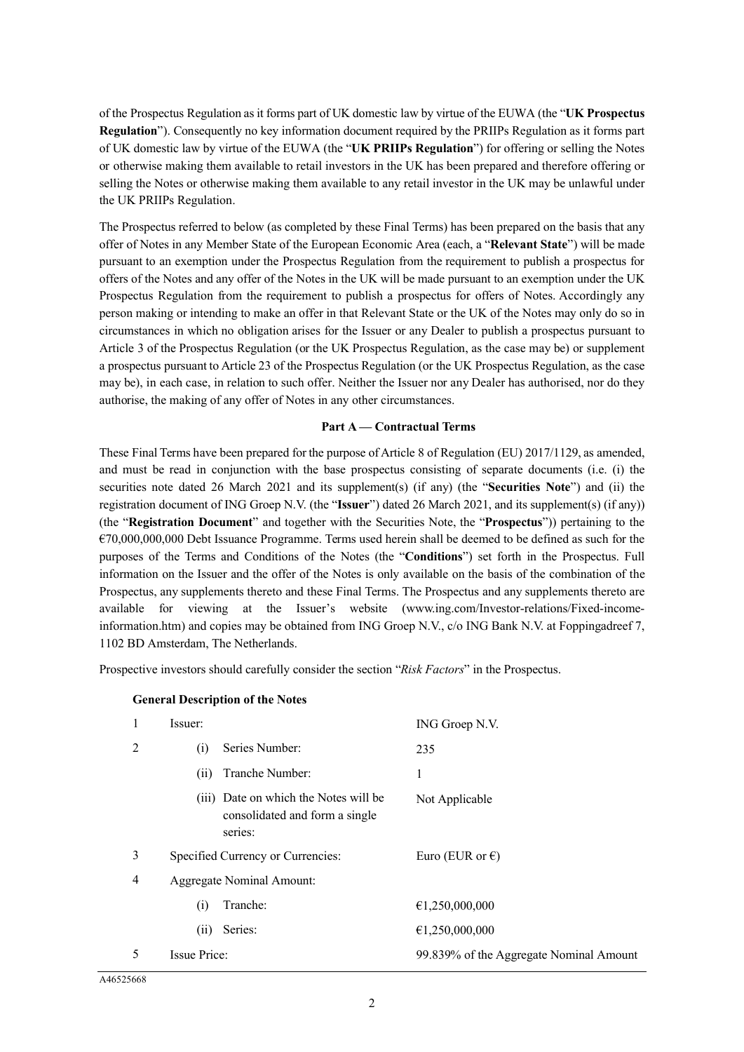of the Prospectus Regulation as it forms part of UK domestic law by virtue of the EUWA (the "**UK Prospectus Regulation**"). Consequently no key information document required by the PRIIPs Regulation as it forms part of UK domestic law by virtue of the EUWA (the "**UK PRIIPs Regulation**") for offering or selling the Notes or otherwise making them available to retail investors in the UK has been prepared and therefore offering or selling the Notes or otherwise making them available to any retail investor in the UK may be unlawful under the UK PRIIPs Regulation.

The Prospectus referred to below (as completed by these Final Terms) has been prepared on the basis that any offer of Notes in any Member State of the European Economic Area (each, a "**Relevant State**") will be made pursuant to an exemption under the Prospectus Regulation from the requirement to publish a prospectus for offers of the Notes and any offer of the Notes in the UK will be made pursuant to an exemption under the UK Prospectus Regulation from the requirement to publish a prospectus for offers of Notes. Accordingly any person making or intending to make an offer in that Relevant State or the UK of the Notes may only do so in circumstances in which no obligation arises for the Issuer or any Dealer to publish a prospectus pursuant to Article 3 of the Prospectus Regulation (or the UK Prospectus Regulation, as the case may be) or supplement a prospectus pursuant to Article 23 of the Prospectus Regulation (or the UK Prospectus Regulation, as the case may be), in each case, in relation to such offer. Neither the Issuer nor any Dealer has authorised, nor do they authorise, the making of any offer of Notes in any other circumstances.

### **Part A — Contractual Terms**

These Final Terms have been prepared for the purpose of Article 8 of Regulation (EU) 2017/1129, as amended, and must be read in conjunction with the base prospectus consisting of separate documents (i.e. (i) the securities note dated 26 March 2021 and its supplement(s) (if any) (the "**Securities Note**") and (ii) the registration document of ING Groep N.V. (the "**Issuer**") dated 26 March 2021, and its supplement(s) (if any)) (the "**Registration Document**" and together with the Securities Note, the "**Prospectus**")) pertaining to the €70,000,000,000 Debt Issuance Programme. Terms used herein shall be deemed to be defined as such for the purposes of the Terms and Conditions of the Notes (the "**Conditions**") set forth in the Prospectus. Full information on the Issuer and the offer of the Notes is only available on the basis of the combination of the Prospectus, any supplements thereto and these Final Terms. The Prospectus and any supplements thereto are available for viewing at the Issuer's website (www.ing.com/Investor-relations/Fixed-incomeinformation.htm) and copies may be obtained from ING Groep N.V., c/o ING Bank N.V. at Foppingadreef 7, 1102 BD Amsterdam, The Netherlands.

Prospective investors should carefully consider the section "*Risk Factors*" in the Prospectus.

| 1 | Issuer:                                                                            | ING Groep N.V.                          |
|---|------------------------------------------------------------------------------------|-----------------------------------------|
| 2 | Series Number:<br>(i)                                                              | 235                                     |
|   | Tranche Number:<br>(i)                                                             | 1                                       |
|   | (iii) Date on which the Notes will be<br>consolidated and form a single<br>series: | Not Applicable                          |
| 3 | Specified Currency or Currencies:                                                  | Euro (EUR or $\epsilon$ )               |
| 4 | <b>Aggregate Nominal Amount:</b>                                                   |                                         |
|   | Tranche:<br>(i)                                                                    | €1,250,000,000                          |
|   | Series:<br>(i)                                                                     | €1,250,000,000                          |
| 5 | <b>Issue Price:</b>                                                                | 99.839% of the Aggregate Nominal Amount |

#### **General Description of the Notes**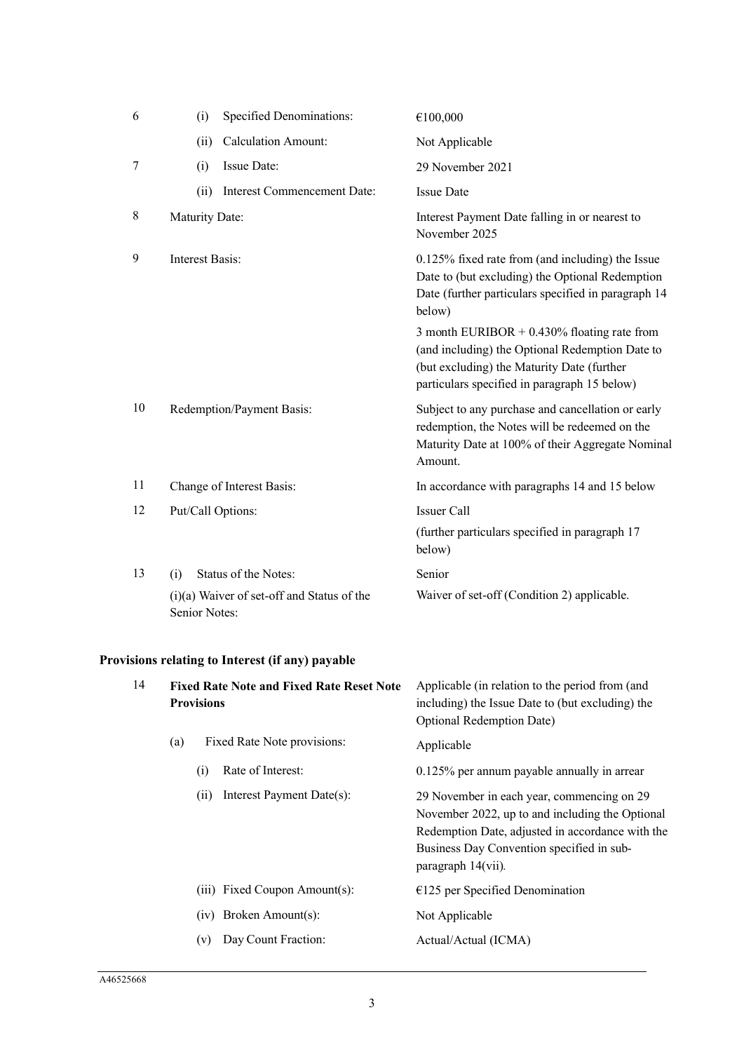| 6              | (i)             | <b>Specified Denominations:</b>            | €100,000                                                                                                                                                                                       |
|----------------|-----------------|--------------------------------------------|------------------------------------------------------------------------------------------------------------------------------------------------------------------------------------------------|
|                | (ii)            | <b>Calculation Amount:</b>                 | Not Applicable                                                                                                                                                                                 |
| $\overline{7}$ | (i)             | Issue Date:                                | 29 November 2021                                                                                                                                                                               |
|                | (ii)            | Interest Commencement Date:                | <b>Issue Date</b>                                                                                                                                                                              |
| 8              | Maturity Date:  |                                            | Interest Payment Date falling in or nearest to<br>November 2025                                                                                                                                |
| 9              | Interest Basis: |                                            | 0.125% fixed rate from (and including) the Issue<br>Date to (but excluding) the Optional Redemption<br>Date (further particulars specified in paragraph 14<br>below)                           |
|                |                 |                                            | 3 month EURIBOR $+$ 0.430% floating rate from<br>(and including) the Optional Redemption Date to<br>(but excluding) the Maturity Date (further<br>particulars specified in paragraph 15 below) |
| 10             |                 | Redemption/Payment Basis:                  | Subject to any purchase and cancellation or early<br>redemption, the Notes will be redeemed on the<br>Maturity Date at 100% of their Aggregate Nominal<br>Amount.                              |
| 11             |                 | Change of Interest Basis:                  | In accordance with paragraphs 14 and 15 below                                                                                                                                                  |
| 12             |                 | Put/Call Options:                          | <b>Issuer Call</b>                                                                                                                                                                             |
|                |                 |                                            | (further particulars specified in paragraph 17<br>below)                                                                                                                                       |
| 13             | (i)             | Status of the Notes:                       | Senior                                                                                                                                                                                         |
|                | Senior Notes:   | (i)(a) Waiver of set-off and Status of the | Waiver of set-off (Condition 2) applicable.                                                                                                                                                    |

# **Provisions relating to Interest (if any) payable**

| 14 | <b>Fixed Rate Note and Fixed Rate Reset Note</b><br><b>Provisions</b><br>Fixed Rate Note provisions:<br>(a) |     |                               | Applicable (in relation to the period from (and<br>including) the Issue Date to (but excluding) the<br><b>Optional Redemption Date)</b>                                                                              |
|----|-------------------------------------------------------------------------------------------------------------|-----|-------------------------------|----------------------------------------------------------------------------------------------------------------------------------------------------------------------------------------------------------------------|
|    |                                                                                                             |     |                               | Applicable                                                                                                                                                                                                           |
|    |                                                                                                             | (i) | Rate of Interest:             | $0.125\%$ per annum payable annually in arrear                                                                                                                                                                       |
|    |                                                                                                             | (i) | Interest Payment Date(s):     | 29 November in each year, commencing on 29<br>November 2022, up to and including the Optional<br>Redemption Date, adjusted in accordance with the<br>Business Day Convention specified in sub-<br>paragraph 14(vii). |
|    |                                                                                                             |     | (iii) Fixed Coupon Amount(s): | $£125$ per Specified Denomination                                                                                                                                                                                    |
|    |                                                                                                             |     | $(iv)$ Broken Amount $(s)$ :  | Not Applicable                                                                                                                                                                                                       |
|    |                                                                                                             | (v) | Day Count Fraction:           | Actual/Actual (ICMA)                                                                                                                                                                                                 |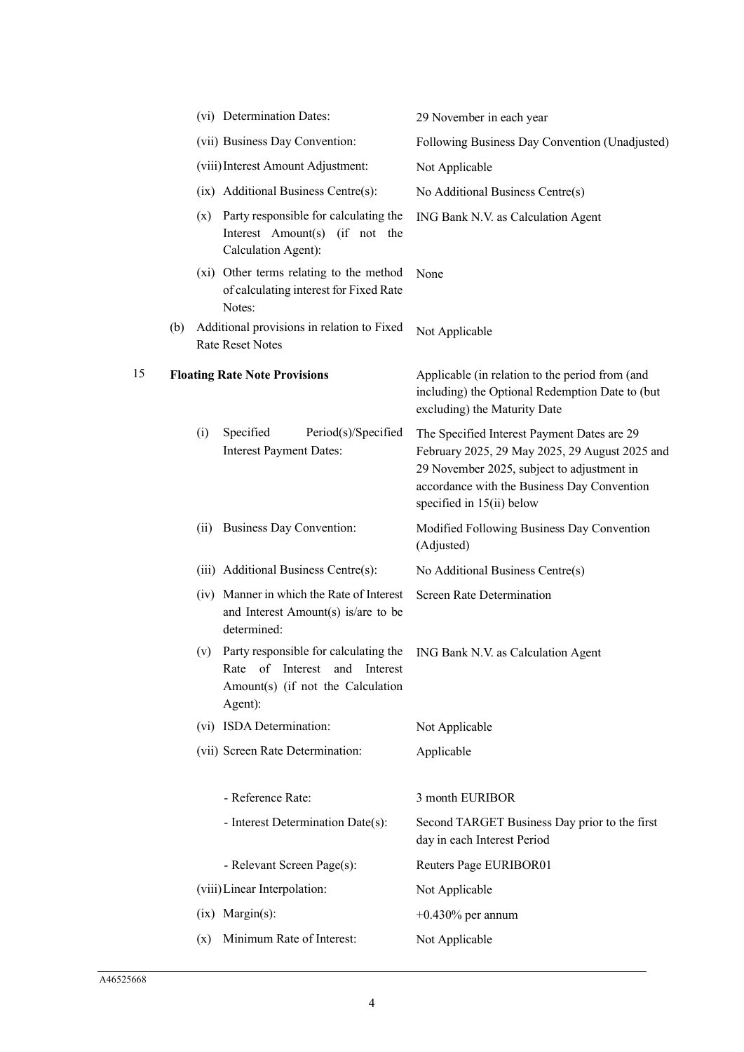|     |      |                                                                                                                        | 29 November in each year                                                                                                                                                                                                                                                                                                                                                                                                                                                                                                                                                             |
|-----|------|------------------------------------------------------------------------------------------------------------------------|--------------------------------------------------------------------------------------------------------------------------------------------------------------------------------------------------------------------------------------------------------------------------------------------------------------------------------------------------------------------------------------------------------------------------------------------------------------------------------------------------------------------------------------------------------------------------------------|
|     |      |                                                                                                                        | Following Business Day Convention (Unadjusted)                                                                                                                                                                                                                                                                                                                                                                                                                                                                                                                                       |
|     |      |                                                                                                                        | Not Applicable                                                                                                                                                                                                                                                                                                                                                                                                                                                                                                                                                                       |
|     |      |                                                                                                                        | No Additional Business Centre(s)                                                                                                                                                                                                                                                                                                                                                                                                                                                                                                                                                     |
|     |      | Interest Amount(s) (if not the<br>Calculation Agent):                                                                  | ING Bank N.V. as Calculation Agent                                                                                                                                                                                                                                                                                                                                                                                                                                                                                                                                                   |
|     |      | of calculating interest for Fixed Rate<br>Notes:                                                                       | None                                                                                                                                                                                                                                                                                                                                                                                                                                                                                                                                                                                 |
| (b) |      |                                                                                                                        | Not Applicable                                                                                                                                                                                                                                                                                                                                                                                                                                                                                                                                                                       |
|     |      |                                                                                                                        | Applicable (in relation to the period from (and<br>including) the Optional Redemption Date to (but<br>excluding) the Maturity Date                                                                                                                                                                                                                                                                                                                                                                                                                                                   |
|     | (i)  | Specified<br>Period(s)/Specified<br><b>Interest Payment Dates:</b>                                                     | The Specified Interest Payment Dates are 29<br>February 2025, 29 May 2025, 29 August 2025 and<br>29 November 2025, subject to adjustment in<br>accordance with the Business Day Convention<br>specified in 15(ii) below                                                                                                                                                                                                                                                                                                                                                              |
|     | (ii) |                                                                                                                        | Modified Following Business Day Convention<br>(Adjusted)                                                                                                                                                                                                                                                                                                                                                                                                                                                                                                                             |
|     |      |                                                                                                                        | No Additional Business Centre(s)                                                                                                                                                                                                                                                                                                                                                                                                                                                                                                                                                     |
|     |      | and Interest Amount(s) is/are to be<br>determined:                                                                     | <b>Screen Rate Determination</b>                                                                                                                                                                                                                                                                                                                                                                                                                                                                                                                                                     |
|     | (v)  | Party responsible for calculating the<br>Rate of Interest and Interest<br>Amount(s) (if not the Calculation<br>Agent): | ING Bank N.V. as Calculation Agent                                                                                                                                                                                                                                                                                                                                                                                                                                                                                                                                                   |
|     |      |                                                                                                                        | Not Applicable                                                                                                                                                                                                                                                                                                                                                                                                                                                                                                                                                                       |
|     |      |                                                                                                                        | Applicable                                                                                                                                                                                                                                                                                                                                                                                                                                                                                                                                                                           |
|     |      | - Reference Rate:                                                                                                      | 3 month EURIBOR                                                                                                                                                                                                                                                                                                                                                                                                                                                                                                                                                                      |
|     |      | - Interest Determination Date(s):                                                                                      | Second TARGET Business Day prior to the first<br>day in each Interest Period                                                                                                                                                                                                                                                                                                                                                                                                                                                                                                         |
|     |      | - Relevant Screen Page(s):                                                                                             | Reuters Page EURIBOR01                                                                                                                                                                                                                                                                                                                                                                                                                                                                                                                                                               |
|     |      |                                                                                                                        | Not Applicable                                                                                                                                                                                                                                                                                                                                                                                                                                                                                                                                                                       |
|     |      |                                                                                                                        | $+0.430\%$ per annum                                                                                                                                                                                                                                                                                                                                                                                                                                                                                                                                                                 |
|     | (x)  | Minimum Rate of Interest:                                                                                              | Not Applicable                                                                                                                                                                                                                                                                                                                                                                                                                                                                                                                                                                       |
|     |      |                                                                                                                        | (vi) Determination Dates:<br>(vii) Business Day Convention:<br>(viii) Interest Amount Adjustment:<br>(ix) Additional Business Centre(s):<br>(x) Party responsible for calculating the<br>(xi) Other terms relating to the method<br>Additional provisions in relation to Fixed<br>Rate Reset Notes<br><b>Floating Rate Note Provisions</b><br>Business Day Convention:<br>(iii) Additional Business Centre(s):<br>(iv) Manner in which the Rate of Interest<br>(vi) ISDA Determination:<br>(vii) Screen Rate Determination:<br>(viii) Linear Interpolation:<br>$(ix)$ Margin $(s)$ : |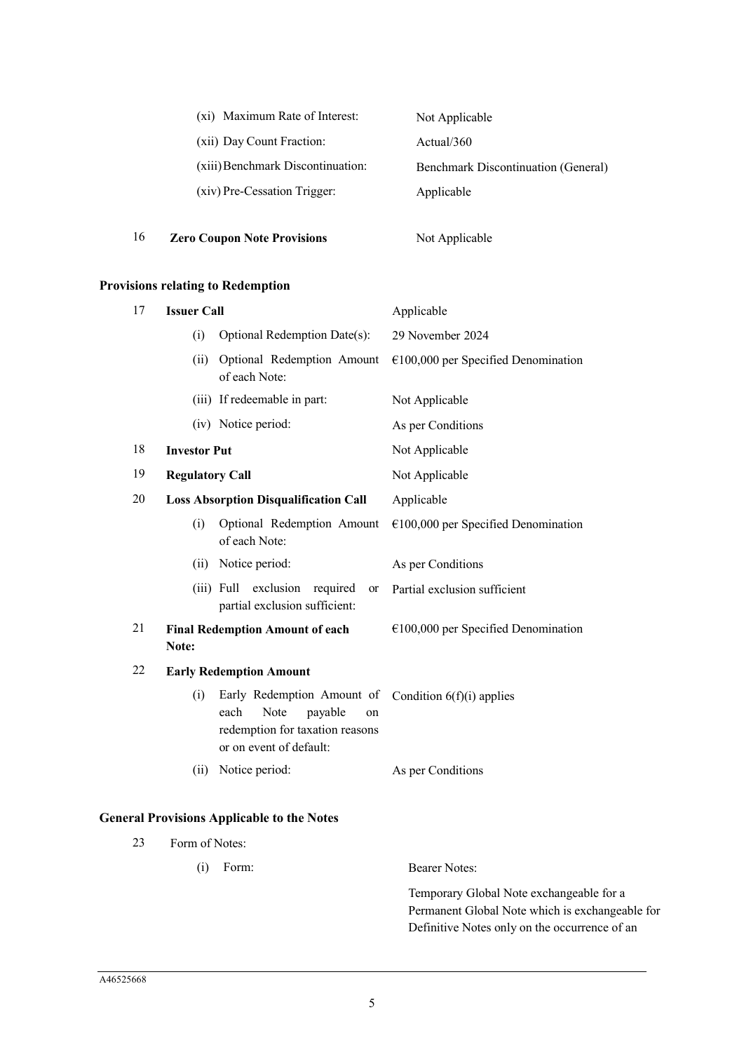| (xi) Maximum Rate of Interest:    | Not Applicable                             |
|-----------------------------------|--------------------------------------------|
| (xii) Day Count Fraction:         | Actual/360                                 |
| (xiii) Benchmark Discontinuation: | <b>Benchmark Discontinuation (General)</b> |
| (xiv) Pre-Cessation Trigger:      | Applicable                                 |
|                                   |                                            |

16 **Zero Coupon Note Provisions** Not Applicable

# **Provisions relating to Redemption**

| 17<br><b>Issuer Call</b>                            |                                                 |                                                                                                                           | Applicable                            |  |
|-----------------------------------------------------|-------------------------------------------------|---------------------------------------------------------------------------------------------------------------------------|---------------------------------------|--|
|                                                     | Optional Redemption Date(s):<br>(i)             |                                                                                                                           | 29 November 2024                      |  |
| Optional Redemption Amount<br>(ii)<br>of each Note: |                                                 |                                                                                                                           | $€100,000$ per Specified Denomination |  |
|                                                     |                                                 | (iii) If redeemable in part:                                                                                              | Not Applicable                        |  |
|                                                     |                                                 | (iv) Notice period:                                                                                                       | As per Conditions                     |  |
| 18                                                  | <b>Investor Put</b>                             |                                                                                                                           | Not Applicable                        |  |
| 19                                                  | <b>Regulatory Call</b>                          |                                                                                                                           | Not Applicable                        |  |
| 20                                                  |                                                 | <b>Loss Absorption Disqualification Call</b>                                                                              | Applicable                            |  |
|                                                     | (i)                                             | Optional Redemption Amount<br>of each Note:                                                                               | $€100,000$ per Specified Denomination |  |
|                                                     | (ii)                                            | Notice period:                                                                                                            | As per Conditions                     |  |
|                                                     |                                                 | exclusion<br>$(iii)$ Full<br>required<br>or<br>partial exclusion sufficient:                                              | Partial exclusion sufficient          |  |
| 21                                                  | <b>Final Redemption Amount of each</b><br>Note: |                                                                                                                           | $€100,000$ per Specified Denomination |  |
| 22                                                  |                                                 | <b>Early Redemption Amount</b>                                                                                            |                                       |  |
|                                                     | (i)                                             | Early Redemption Amount of<br>Note<br>each<br>payable<br>on<br>redemption for taxation reasons<br>or on event of default: | Condition $6(f)(i)$ applies           |  |
|                                                     | (ii)                                            | Notice period:                                                                                                            | As per Conditions                     |  |

# **General Provisions Applicable to the Notes**

| 23 | Form of Notes: |                                                 |  |  |
|----|----------------|-------------------------------------------------|--|--|
|    | Form:<br>(1)   | Bearer Notes:                                   |  |  |
|    |                | Temporary Global Note exchangeable for a        |  |  |
|    |                | Permanent Global Note which is exchangeable for |  |  |
|    |                | Definitive Notes only on the occurrence of an   |  |  |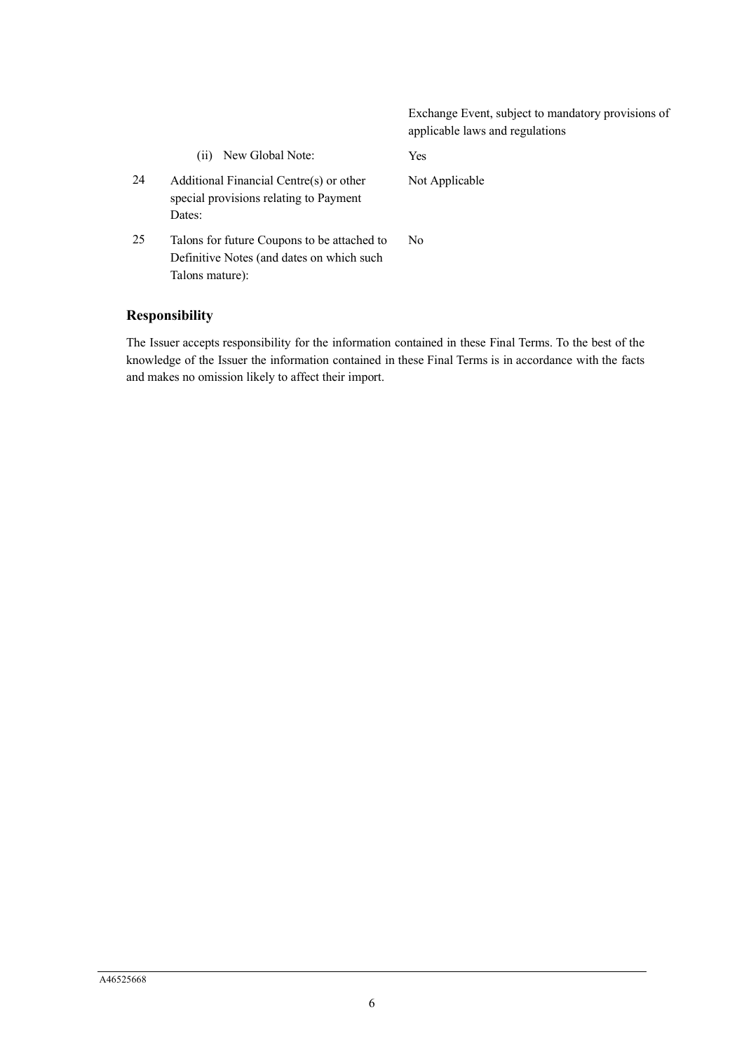|    |                                                                                                             | Exchange Event, subject to mandatory provisions of<br>applicable laws and regulations |
|----|-------------------------------------------------------------------------------------------------------------|---------------------------------------------------------------------------------------|
|    | New Global Note:<br>(11)                                                                                    | <b>Yes</b>                                                                            |
| 24 | Additional Financial Centre(s) or other<br>special provisions relating to Payment<br>Dates:                 | Not Applicable                                                                        |
| 25 | Talons for future Coupons to be attached to<br>Definitive Notes (and dates on which such<br>Talons mature): | No.                                                                                   |

# **Responsibility**

The Issuer accepts responsibility for the information contained in these Final Terms. To the best of the knowledge of the Issuer the information contained in these Final Terms is in accordance with the facts and makes no omission likely to affect their import.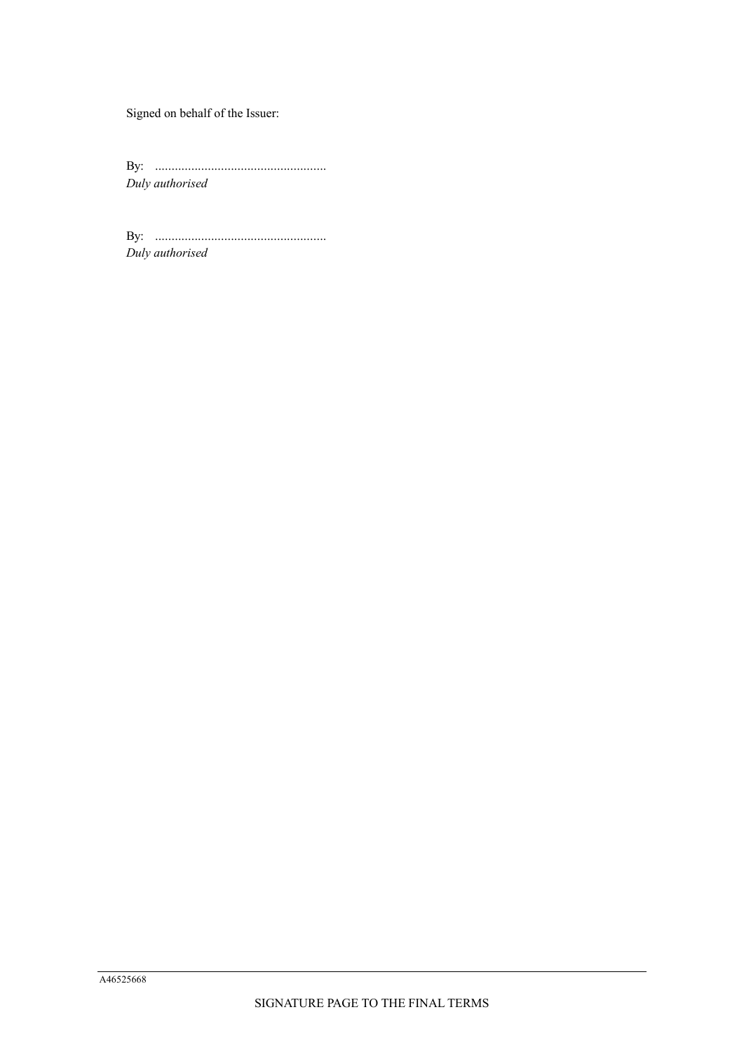Signed on behalf of the Issuer:

By: .................................................... *Duly authorised*

By: .................................................... *Duly authorised*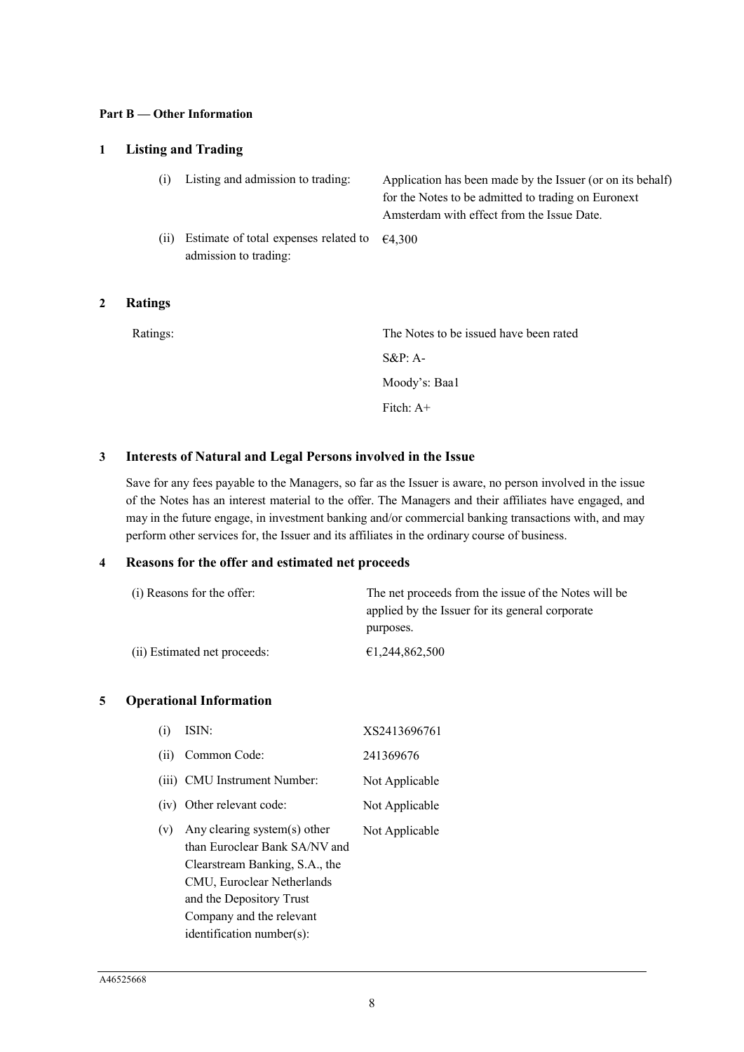#### **Part B — Other Information**

# **1 Listing and Trading**

| (i)  | Listing and admission to trading:                                               | Application has been made by the Issuer (or on its behalf)<br>for the Notes to be admitted to trading on Euronext<br>Amsterdam with effect from the Issue Date. |
|------|---------------------------------------------------------------------------------|-----------------------------------------------------------------------------------------------------------------------------------------------------------------|
| (ii) | Estimate of total expenses related to $\epsilon$ 4,300<br>admission to trading: |                                                                                                                                                                 |

### **2 Ratings**

| Ratings: | The Notes to be issued have been rated |
|----------|----------------------------------------|
|          | $S\&P: A-$                             |
|          | Moody's: Baa1                          |
|          | Fitch: $A+$                            |
|          |                                        |

# **3 Interests of Natural and Legal Persons involved in the Issue**

Save for any fees payable to the Managers, so far as the Issuer is aware, no person involved in the issue of the Notes has an interest material to the offer. The Managers and their affiliates have engaged, and may in the future engage, in investment banking and/or commercial banking transactions with, and may perform other services for, the Issuer and its affiliates in the ordinary course of business.

### **4 Reasons for the offer and estimated net proceeds**

| (i) Reasons for the offer:   | The net proceeds from the issue of the Notes will be |  |
|------------------------------|------------------------------------------------------|--|
|                              | applied by the Issuer for its general corporate      |  |
|                              | purposes.                                            |  |
| (ii) Estimated net proceeds: | €1,244,862,500                                       |  |

### **5 Operational Information**

| (i)  | ISIN:                                                                                                                                                                                                              | XS2413696761   |
|------|--------------------------------------------------------------------------------------------------------------------------------------------------------------------------------------------------------------------|----------------|
| (ii) | Common Code:                                                                                                                                                                                                       | 241369676      |
|      | (iii) CMU Instrument Number:                                                                                                                                                                                       | Not Applicable |
|      | (iv) Other relevant code:                                                                                                                                                                                          | Not Applicable |
| (v)  | Any clearing system(s) other<br>than Euroclear Bank SA/NV and<br>Clearstream Banking, S.A., the<br>CMU, Euroclear Netherlands<br>and the Depository Trust<br>Company and the relevant<br>identification number(s): | Not Applicable |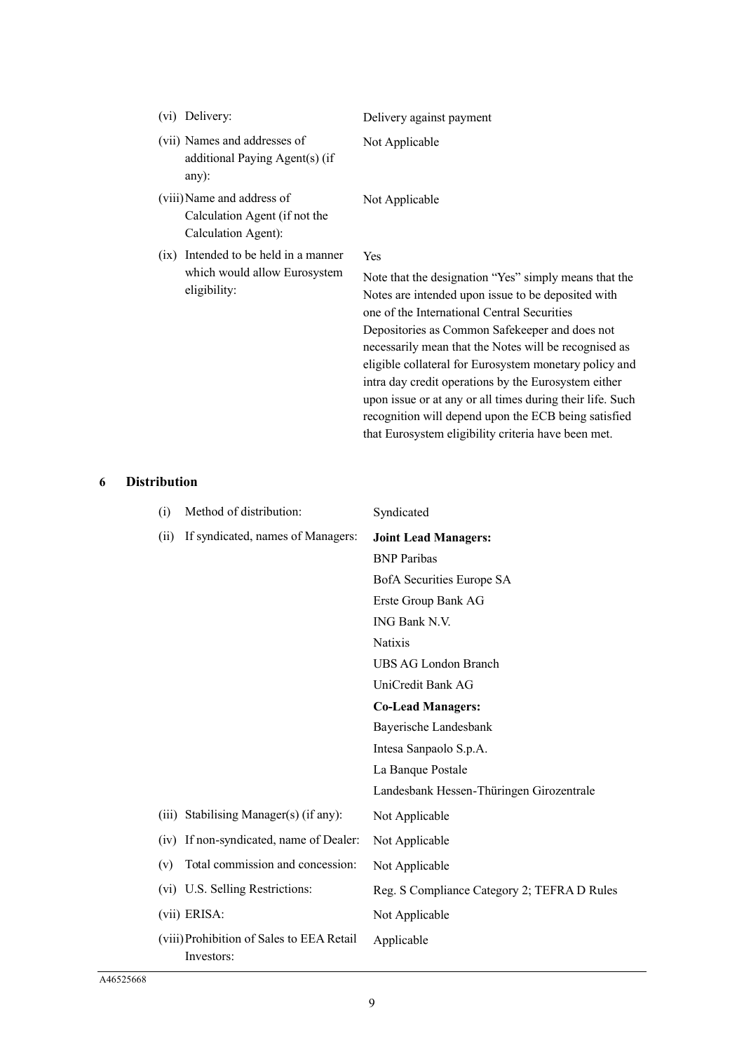| Delivery:<br>(V1)                                                                    | Delivery against payment                                                                                                                                                                                                                                                     |
|--------------------------------------------------------------------------------------|------------------------------------------------------------------------------------------------------------------------------------------------------------------------------------------------------------------------------------------------------------------------------|
| (vii) Names and addresses of<br>additional Paying Agent(s) (if<br>$any)$ :           | Not Applicable                                                                                                                                                                                                                                                               |
| (viii) Name and address of<br>Calculation Agent (if not the<br>Calculation Agent):   | Not Applicable                                                                                                                                                                                                                                                               |
| (ix) Intended to be held in a manner<br>which would allow Eurosystem<br>eligibility: | Yes<br>Note that the designation "Yes" simply means that the<br>Notes are intended upon issue to be deposited with<br>one of the International Central Securities<br>Depositories as Common Safekeeper and does not<br>necessarily mean that the Notes will be recognised as |

rities and does not be recognised as eligible collateral for Eurosystem monetary policy and intra day credit operations by the Eurosystem either upon issue or at any or all times during their life. Such recognition will depend upon the ECB being satisfied that Eurosystem eligibility criteria have been met.

### **6 Distribution**

| (i)  | Method of distribution:                                 | Syndicated                                  |
|------|---------------------------------------------------------|---------------------------------------------|
| (ii) | If syndicated, names of Managers:                       | <b>Joint Lead Managers:</b>                 |
|      |                                                         | <b>BNP</b> Paribas                          |
|      |                                                         | BofA Securities Europe SA                   |
|      |                                                         | Erste Group Bank AG                         |
|      |                                                         | ING Bank N.V.                               |
|      |                                                         | Natixis                                     |
|      |                                                         | UBS AG London Branch                        |
|      |                                                         | UniCredit Bank AG                           |
|      |                                                         | <b>Co-Lead Managers:</b>                    |
|      |                                                         | Bayerische Landesbank                       |
|      |                                                         | Intesa Sanpaolo S.p.A.                      |
|      |                                                         | La Banque Postale                           |
|      |                                                         | Landesbank Hessen-Thüringen Girozentrale    |
|      | (iii) Stabilising Manager(s) (if any):                  | Not Applicable                              |
| (iv) | If non-syndicated, name of Dealer:                      | Not Applicable                              |
| (v)  | Total commission and concession:                        | Not Applicable                              |
| (vi) | U.S. Selling Restrictions:                              | Reg. S Compliance Category 2; TEFRA D Rules |
|      | (vii) ERISA:                                            | Not Applicable                              |
|      | (viii) Prohibition of Sales to EEA Retail<br>Investors: | Applicable                                  |